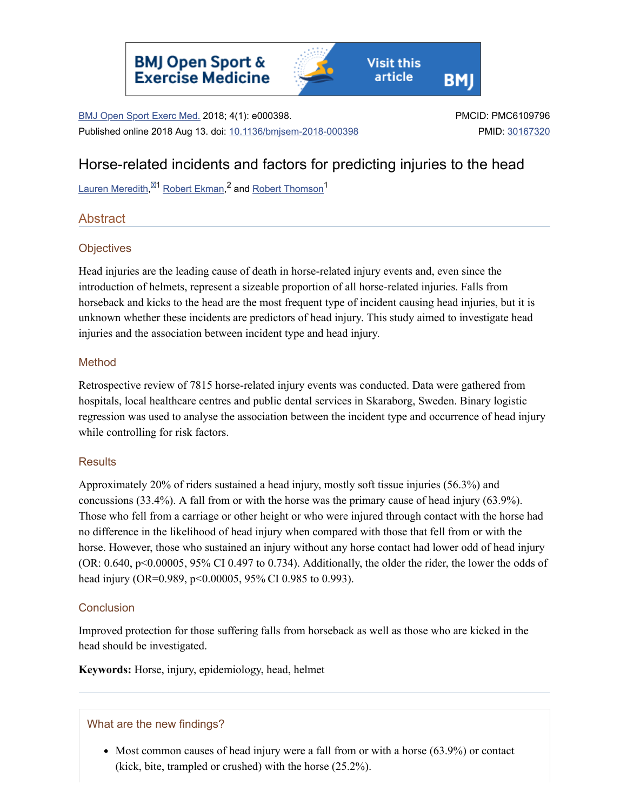

BMJ Open Sport Exerc Med. 2018; 4(1): e000398. Published online 2018 Aug 13. doi: [10.1136/bmjsem-2018-000398](https://dx.doi.org/10.1136%2Fbmjsem-2018-000398) PMCID: PMC6109796 PMID: [30167320](https://www.ncbi.nlm.nih.gov/pubmed/30167320)

# Horse-related incidents and factors for predicting injuries to the head

Lauren [Meredith,](https://www.ncbi.nlm.nih.gov/pubmed/?term=Meredith%20L%5BAuthor%5D&cauthor=true&cauthor_uid=30167320)<sup>⊠1</sup> Robert [Ekman,](https://www.ncbi.nlm.nih.gov/pubmed/?term=Ekman%20R%5BAuthor%5D&cauthor=true&cauthor_uid=30167320)<sup>2</sup> and <u>Robert [Thomson](https://www.ncbi.nlm.nih.gov/pubmed/?term=Thomson%20R%5BAuthor%5D&cauthor=true&cauthor_uid=30167320)</u><sup>1</sup>

# Abstract

# **Objectives**

Head injuries are the leading cause of death in horse-related injury events and, even since the introduction of helmets, represent a sizeable proportion of all horse-related injuries. Falls from horseback and kicks to the head are the most frequent type of incident causing head injuries, but it is unknown whether these incidents are predictors of head injury. This study aimed to investigate head injuries and the association between incident type and head injury.

### Method

Retrospective review of 7815 horse-related injury events was conducted. Data were gathered from hospitals, local healthcare centres and public dental services in Skaraborg, Sweden. Binary logistic regression was used to analyse the association between the incident type and occurrence of head injury while controlling for risk factors.

# **Results**

Approximately 20% of riders sustained a head injury, mostly soft tissue injuries (56.3%) and concussions (33.4%). A fall from or with the horse was the primary cause of head injury (63.9%). Those who fell from a carriage or other height or who were injured through contact with the horse had no difference in the likelihood of head injury when compared with those that fell from or with the horse. However, those who sustained an injury without any horse contact had lower odd of head injury (OR: 0.640, p<0.00005, 95% CI 0.497 to 0.734). Additionally, the older the rider, the lower the odds of head injury (OR=0.989, p<0.00005, 95% CI 0.985 to 0.993).

# **Conclusion**

Improved protection for those suffering falls from horseback as well as those who are kicked in the head should be investigated.

**Keywords:** Horse, injury, epidemiology, head, helmet

# What are the new findings?

• Most common causes of head injury were a fall from or with a horse (63.9%) or contact (kick, bite, trampled or crushed) with the horse (25.2%).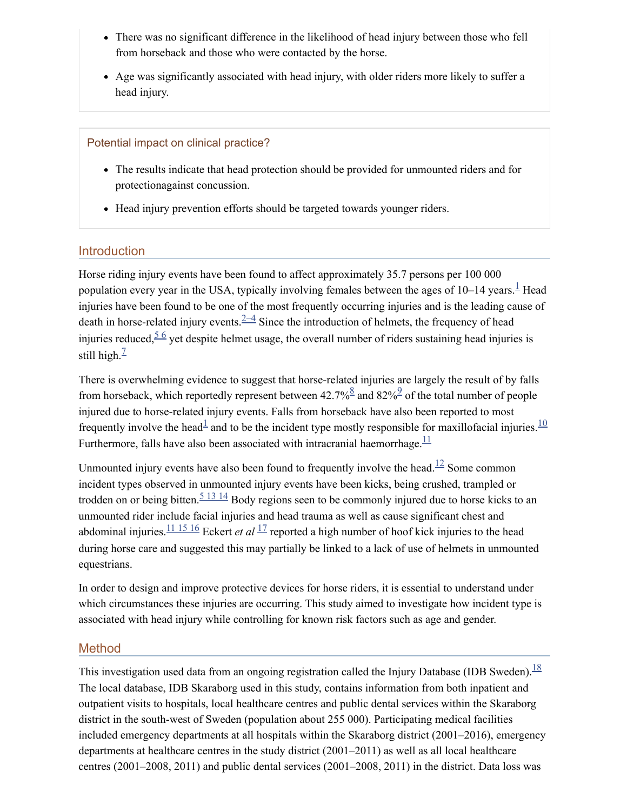- There was no significant difference in the likelihood of head injury between those who fell from horseback and those who were contacted by the horse.
- Age was significantly associated with head injury, with older riders more likely to suffer a head injury.

#### Potential impact on clinical practice?

- The results indicate that head protection should be provided for unmounted riders and for protectionagainst concussion.
- Head injury prevention efforts should be targeted towards younger riders.

# **Introduction**

Horse riding injury events have been found to affect approximately 35.7 persons per 100 000 population every year in the USA, typically involving females between the ages of [1](#page-10-0)0–14 years.  $\frac{1}{2}$  Head injuries have been found to be one of the most frequently occurring injuries and is the leading cause of death in horse-related injury events.  $\frac{2-4}{ }$  Since the introduction of helmets, the frequency of head injuries reduced,  $5/6$  $5/6$  yet despite helmet usage, the overall number of riders sustaining head injuries is still high. $<sup>7</sup>$  $<sup>7</sup>$  $<sup>7</sup>$ </sup>

There is overwhelming evidence to suggest that horse-related injuries are largely the result of by falls from horseback, which reportedly represent between  $42.7\%$ <sup>[8](#page-11-1)</sup> and  $82\%$ <sup>[9](#page-11-2)</sup> of the total number of people injured due to horse-related injury events. Falls from horseback have also been reported to most frequently involve the head<sup>[1](#page-10-0)</sup> and to be the incident type mostly responsible for maxillofacial injuries.  $\frac{10}{10}$  $\frac{10}{10}$  $\frac{10}{10}$ Furthermore, falls have also been associated with intracranial haemorrhage. $\frac{11}{1}$  $\frac{11}{1}$  $\frac{11}{1}$ 

Unmounted injury events have also been found to frequently involve the head.<sup>[12](#page-11-5)</sup> Some common incident types observed in unmounted injury events have been kicks, being crushed, trampled or trodden on or being bitten.<sup>513[14](#page-10-2)</sup> Body regions seen to be commonly injured due to horse kicks to an unmounted rider include facial injuries and head trauma as well as cause significant chest and abdominal injuries.  $\frac{11\ 15\ 16}{12}$  $\frac{11\ 15\ 16}{12}$  $\frac{11\ 15\ 16}{12}$  Eckert *et al*  $\frac{17}{2}$  $\frac{17}{2}$  $\frac{17}{2}$  reported a high number of hoof kick injuries to the head during horse care and suggested this may partially be linked to a lack of use of helmets in unmounted equestrians.

In order to design and improve protective devices for horse riders, it is essential to understand under which circumstances these injuries are occurring. This study aimed to investigate how incident type is associated with head injury while controlling for known risk factors such as age and gender.

### Method

This investigation used data from an ongoing registration called the Injury Database (IDB Sweden).  $\frac{18}{3}$  $\frac{18}{3}$  $\frac{18}{3}$ The local database, IDB Skaraborg used in this study, contains information from both inpatient and outpatient visits to hospitals, local healthcare centres and public dental services within the Skaraborg district in the south-west of Sweden (population about 255 000). Participating medical facilities included emergency departments at all hospitals within the Skaraborg district (2001–2016), emergency departments at healthcare centres in the study district (2001–2011) as well as all local healthcare centres (2001–2008, 2011) and public dental services (2001–2008, 2011) in the district. Data loss was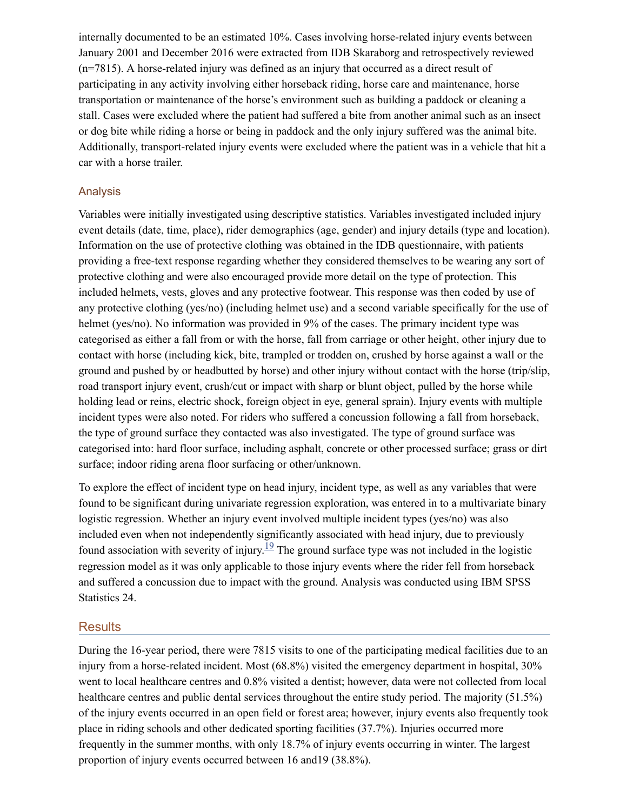internally documented to be an estimated 10%. Cases involving horse-related injury events between January 2001 and December 2016 were extracted from IDB Skaraborg and retrospectively reviewed (n=7815). A horse-related injury was defined as an injury that occurred as a direct result of participating in any activity involving either horseback riding, horse care and maintenance, horse transportation or maintenance of the horse's environment such as building a paddock or cleaning a stall. Cases were excluded where the patient had suffered a bite from another animal such as an insect or dog bite while riding a horse or being in paddock and the only injury suffered was the animal bite. Additionally, transport-related injury events were excluded where the patient was in a vehicle that hit a car with a horse trailer.

#### Analysis

Variables were initially investigated using descriptive statistics. Variables investigated included injury event details (date, time, place), rider demographics (age, gender) and injury details (type and location). Information on the use of protective clothing was obtained in the IDB questionnaire, with patients providing a free-text response regarding whether they considered themselves to be wearing any sort of protective clothing and were also encouraged provide more detail on the type of protection. This included helmets, vests, gloves and any protective footwear. This response was then coded by use of any protective clothing (yes/no) (including helmet use) and a second variable specifically for the use of helmet (yes/no). No information was provided in 9% of the cases. The primary incident type was categorised as either a fall from or with the horse, fall from carriage or other height, other injury due to contact with horse (including kick, bite, trampled or trodden on, crushed by horse against a wall or the ground and pushed by or headbutted by horse) and other injury without contact with the horse (trip/slip, road transport injury event, crush/cut or impact with sharp or blunt object, pulled by the horse while holding lead or reins, electric shock, foreign object in eye, general sprain). Injury events with multiple incident types were also noted. For riders who suffered a concussion following a fall from horseback, the type of ground surface they contacted was also investigated. The type of ground surface was categorised into: hard floor surface, including asphalt, concrete or other processed surface; grass or dirt surface; indoor riding arena floor surfacing or other/unknown.

To explore the effect of incident type on head injury, incident type, as well as any variables that were found to be significant during univariate regression exploration, was entered in to a multivariate binary logistic regression. Whether an injury event involved multiple incident types (yes/no) was also included even when not independently significantly associated with head injury, due to previously found association with severity of injury.<sup>[19](#page-11-8)</sup> The ground surface type was not included in the logistic regression model as it was only applicable to those injury events where the rider fell from horseback and suffered a concussion due to impact with the ground. Analysis was conducted using IBM SPSS Statistics 24.

#### **Results**

During the 16-year period, there were 7815 visits to one of the participating medical facilities due to an injury from a horse-related incident. Most (68.8%) visited the emergency department in hospital, 30% went to local healthcare centres and 0.8% visited a dentist; however, data were not collected from local healthcare centres and public dental services throughout the entire study period. The majority (51.5%) of the injury events occurred in an open field or forest area; however, injury events also frequently took place in riding schools and other dedicated sporting facilities (37.7%). Injuries occurred more frequently in the summer months, with only 18.7% of injury events occurring in winter. The largest proportion of injury events occurred between 16 and19 (38.8%).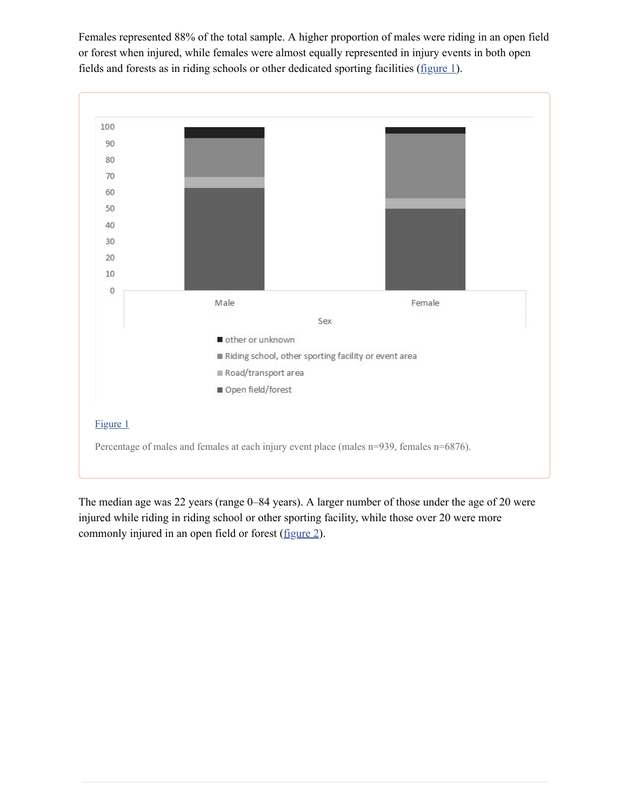Females represented 88% of the total sample. A higher proportion of males were riding in an open field or forest when injured, while females were almost equally represented in injury events in both open fields and forests as in riding schools or other dedicated sporting facilities ([figure](https://www.ncbi.nlm.nih.gov/pmc/articles/PMC6109796/figure/F1/) 1).



The median age was 22 years (range 0–84 years). A larger number of those under the age of 20 were injured while riding in riding school or other sporting facility, while those over 20 were more commonly injured in an open field or forest ([figure](https://www.ncbi.nlm.nih.gov/pmc/articles/PMC6109796/figure/F2/) 2).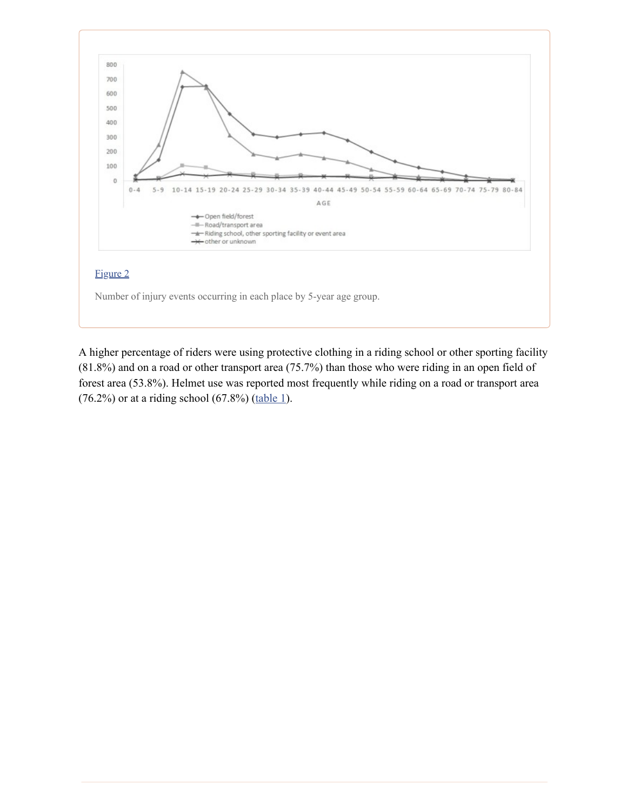

A higher percentage of riders were using protective clothing in a riding school or other sporting facility (81.8%) and on a road or other transport area (75.7%) than those who were riding in an open field of forest area (53.8%). Helmet use was reported most frequently while riding on a road or transport area  $(76.2%)$  or at a riding school  $(67.8%)$  ([table](https://www.ncbi.nlm.nih.gov/pmc/articles/PMC6109796/table/T1/) 1).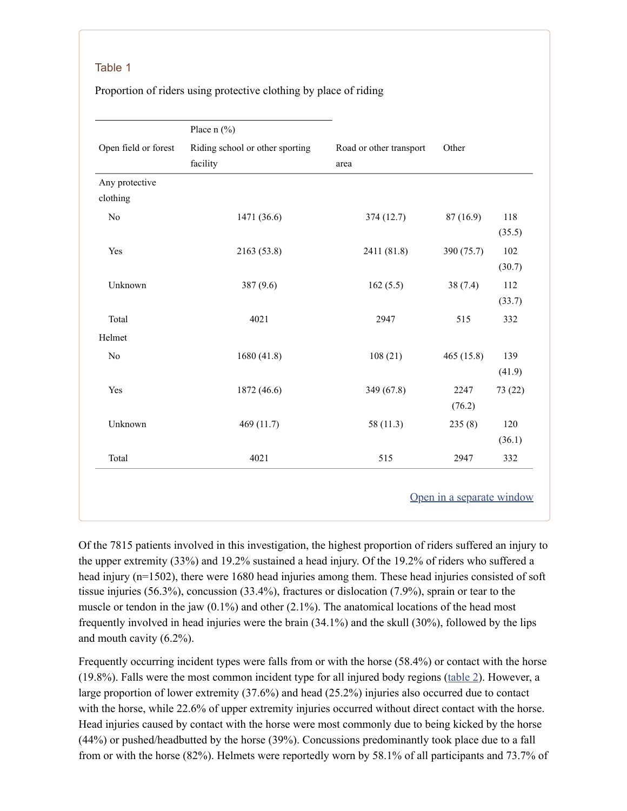#### Table 1

Proportion of riders using protective clothing by place of riding

|                      | Place $n$ (%)                               |                                 |            |         |
|----------------------|---------------------------------------------|---------------------------------|------------|---------|
| Open field or forest | Riding school or other sporting<br>facility | Road or other transport<br>area | Other      |         |
| Any protective       |                                             |                                 |            |         |
| clothing             |                                             |                                 |            |         |
| No                   | 1471 (36.6)                                 | 374 (12.7)                      | 87(16.9)   | 118     |
|                      |                                             |                                 |            | (35.5)  |
| Yes                  | 2163 (53.8)                                 | 2411 (81.8)                     | 390 (75.7) | 102     |
|                      |                                             |                                 |            | (30.7)  |
| Unknown              | 387 (9.6)                                   | 162(5.5)                        | 38(7.4)    | 112     |
|                      |                                             |                                 |            | (33.7)  |
| Total                | 4021                                        | 2947                            | 515        | 332     |
| Helmet               |                                             |                                 |            |         |
| No                   | 1680 (41.8)                                 | 108(21)                         | 465 (15.8) | 139     |
|                      |                                             |                                 |            | (41.9)  |
| Yes                  | 1872 (46.6)                                 | 349 (67.8)                      | 2247       | 73 (22) |
|                      |                                             |                                 | (76.2)     |         |
| Unknown              | 469 (11.7)                                  | 58 (11.3)                       | 235(8)     | 120     |
|                      |                                             |                                 |            | (36.1)  |
| Total                | 4021                                        | 515                             | 2947       | 332     |

Of the 7815 patients involved in this investigation, the highest proportion of riders suffered an injury to the upper extremity (33%) and 19.2% sustained a head injury. Of the 19.2% of riders who suffered a head injury (n=1502), there were 1680 head injuries among them. These head injuries consisted of soft tissue injuries (56.3%), concussion (33.4%), fractures or dislocation (7.9%), sprain or tear to the muscle or tendon in the jaw  $(0.1\%)$  and other  $(2.1\%)$ . The anatomical locations of the head most frequently involved in head injuries were the brain (34.1%) and the skull (30%), followed by the lips and mouth cavity (6.2%).

Frequently occurring incident types were falls from or with the horse (58.4%) or contact with the horse (19.8%). Falls were the most common incident type for all injured body regions ([table](https://www.ncbi.nlm.nih.gov/pmc/articles/PMC6109796/table/T2/) 2). However, a large proportion of lower extremity (37.6%) and head (25.2%) injuries also occurred due to contact with the horse, while 22.6% of upper extremity injuries occurred without direct contact with the horse. Head injuries caused by contact with the horse were most commonly due to being kicked by the horse (44%) or pushed/headbutted by the horse (39%). Concussions predominantly took place due to a fall from or with the horse (82%). Helmets were reportedly worn by 58.1% of all participants and 73.7% of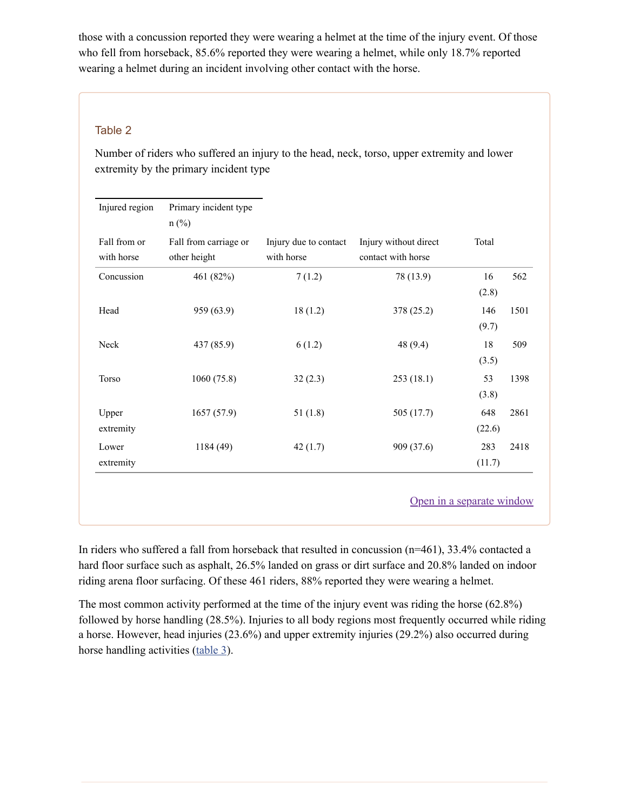those with a concussion reported they were wearing a helmet at the time of the injury event. Of those who fell from horseback, 85.6% reported they were wearing a helmet, while only 18.7% reported wearing a helmet during an incident involving other contact with the horse.

### Table 2

Number of riders who suffered an injury to the head, neck, torso, upper extremity and lower extremity by the primary incident type

| Injured region             | Primary incident type<br>$n$ (%)      |                                     |                                             |               |      |
|----------------------------|---------------------------------------|-------------------------------------|---------------------------------------------|---------------|------|
| Fall from or<br>with horse | Fall from carriage or<br>other height | Injury due to contact<br>with horse | Injury without direct<br>contact with horse | Total         |      |
| Concussion                 | 461 (82%)                             | 7(1.2)                              | 78 (13.9)                                   | 16<br>(2.8)   | 562  |
| Head                       | 959 (63.9)                            | 18(1.2)                             | 378 (25.2)                                  | 146<br>(9.7)  | 1501 |
| Neck                       | 437 (85.9)                            | 6(1.2)                              | 48 (9.4)                                    | 18<br>(3.5)   | 509  |
| <b>Torso</b>               | 1060(75.8)                            | 32(2.3)                             | 253 (18.1)                                  | 53<br>(3.8)   | 1398 |
| Upper<br>extremity         | 1657(57.9)                            | 51(1.8)                             | 505 (17.7)                                  | 648<br>(22.6) | 2861 |
| Lower<br>extremity         | 1184(49)                              | 42(1.7)                             | 909 (37.6)                                  | 283<br>(11.7) | 2418 |

In riders who suffered a fall from horseback that resulted in concussion (n=461), 33.4% contacted a hard floor surface such as asphalt, 26.5% landed on grass or dirt surface and 20.8% landed on indoor riding arena floor surfacing. Of these 461 riders, 88% reported they were wearing a helmet.

The most common activity performed at the time of the injury event was riding the horse (62.8%) followed by horse handling (28.5%). Injuries to all body regions most frequently occurred while riding a horse. However, head injuries (23.6%) and upper extremity injuries (29.2%) also occurred during horse handling activities [\(table](https://www.ncbi.nlm.nih.gov/pmc/articles/PMC6109796/table/T3/) 3).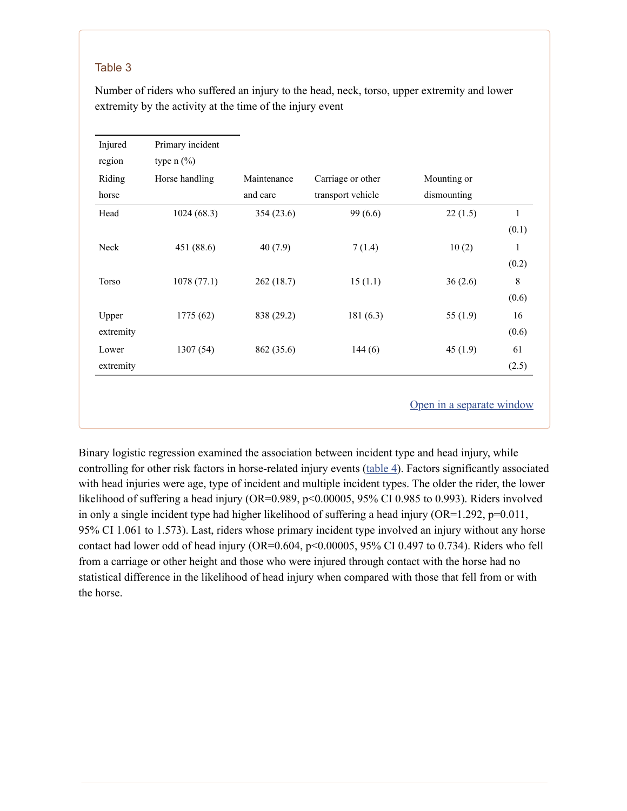#### Table 3

Number of riders who suffered an injury to the head, neck, torso, upper extremity and lower extremity by the activity at the time of the injury event

| Riding    | Horse handling | Maintenance | Carriage or other | Mounting or |              |
|-----------|----------------|-------------|-------------------|-------------|--------------|
| horse     |                | and care    | transport vehicle | dismounting |              |
| Head      | 1024(68.3)     | 354 (23.6)  | 99 (6.6)          | 22(1.5)     | $\mathbf{1}$ |
|           |                |             |                   |             | (0.1)        |
| Neck      | 451 (88.6)     | 40(7.9)     | 7(1.4)            | 10(2)       | $\mathbf{1}$ |
|           |                |             |                   |             | (0.2)        |
| Torso     | 1078(77.1)     | 262 (18.7)  | 15(1.1)           | 36(2.6)     | $\,8\,$      |
|           |                |             |                   |             | (0.6)        |
| Upper     | 1775(62)       | 838 (29.2)  | 181(6.3)          | 55(1.9)     | 16           |
| extremity |                |             |                   |             | (0.6)        |
| Lower     | 1307(54)       | 862 (35.6)  | 144(6)            | 45(1.9)     | 61           |
| extremity |                |             |                   |             | (2.5)        |

Binary logistic regression examined the association between incident type and head injury, while controlling for other risk factors in horse-related injury events ([table](https://www.ncbi.nlm.nih.gov/pmc/articles/PMC6109796/table/T4/) 4). Factors significantly associated with head injuries were age, type of incident and multiple incident types. The older the rider, the lower likelihood of suffering a head injury (OR=0.989, p<0.00005, 95% CI 0.985 to 0.993). Riders involved in only a single incident type had higher likelihood of suffering a head injury (OR=1.292, p=0.011, 95% CI 1.061 to 1.573). Last, riders whose primary incident type involved an injury without any horse contact had lower odd of head injury (OR=0.604, p<0.00005, 95% CI 0.497 to 0.734). Riders who fell from a carriage or other height and those who were injured through contact with the horse had no statistical difference in the likelihood of head injury when compared with those that fell from or with the horse.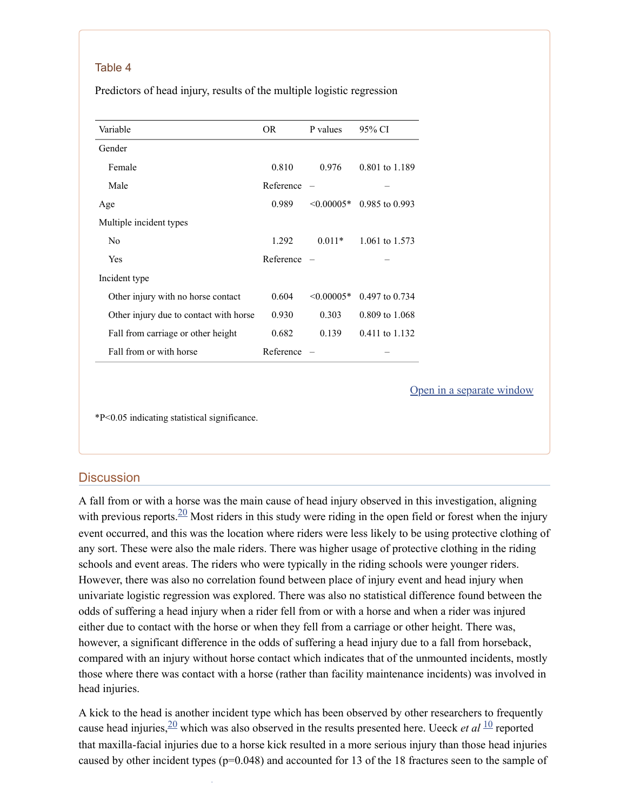#### Table 4

Predictors of head injury, results of the multiple logistic regression

| Variable                               | OR.       | P values        | 95% CI         |
|----------------------------------------|-----------|-----------------|----------------|
| Gender                                 |           |                 |                |
| Female                                 | 0.810     | 0.976           | 0.801 to 1.189 |
| Male                                   | Reference |                 |                |
| Age                                    | 0.989     | $\leq 0.00005*$ | 0.985 to 0.993 |
| Multiple incident types                |           |                 |                |
| N <sub>0</sub>                         | 1.292     | $0.011*$        | 1.061 to 1.573 |
| Yes                                    | Reference |                 |                |
| Incident type                          |           |                 |                |
| Other injury with no horse contact     | 0.604     | $\leq 0.00005*$ | 0.497 to 0.734 |
| Other injury due to contact with horse | 0.930     | 0.303           | 0.809 to 1.068 |
| Fall from carriage or other height     | 0.682     | 0.139           | 0.411 to 1.132 |
| Fall from or with horse                | Reference |                 |                |

Open in a [separate](https://www.ncbi.nlm.nih.gov/pmc/articles/PMC6109796/table/T4/?report=objectonly) window

\*P<0.05 indicating statistical significance.

[1](#page-11-6)

#### **Discussion**

A fall from or with a horse was the main cause of head injury observed in this investigation, aligning with previous reports.  $\frac{20}{10}$  $\frac{20}{10}$  $\frac{20}{10}$  Most riders in this study were riding in the open field or forest when the injury event occurred, and this was the location where riders were less likely to be using protective clothing of any sort. These were also the male riders. There was higher usage of protective clothing in the riding schools and event areas. The riders who were typically in the riding schools were younger riders. However, there was also no correlation found between place of injury event and head injury when univariate logistic regression was explored. There was also no statistical difference found between the odds of suffering a head injury when a rider fell from or with a horse and when a rider was injured either due to contact with the horse or when they fell from a carriage or other height. There was, however, a significant difference in the odds of suffering a head injury due to a fall from horseback, compared with an injury without horse contact which indicates that of the unmounted incidents, mostly those where there was contact with a horse (rather than facility maintenance incidents) was involved in head injuries.

A kick to the head is another incident type which has been observed by other researchers to frequently cause head injuries,  $\frac{20}{2}$  $\frac{20}{2}$  $\frac{20}{2}$  which was also observed in the results presented here. Ueeck *et al*  $\frac{10}{2}$  $\frac{10}{2}$  $\frac{10}{2}$  reported that maxilla-facial injuries due to a horse kick resulted in a more serious injury than those head injuries caused by other incident types (p=0.048) and accounted for 13 of the 18 fractures seen to the sample of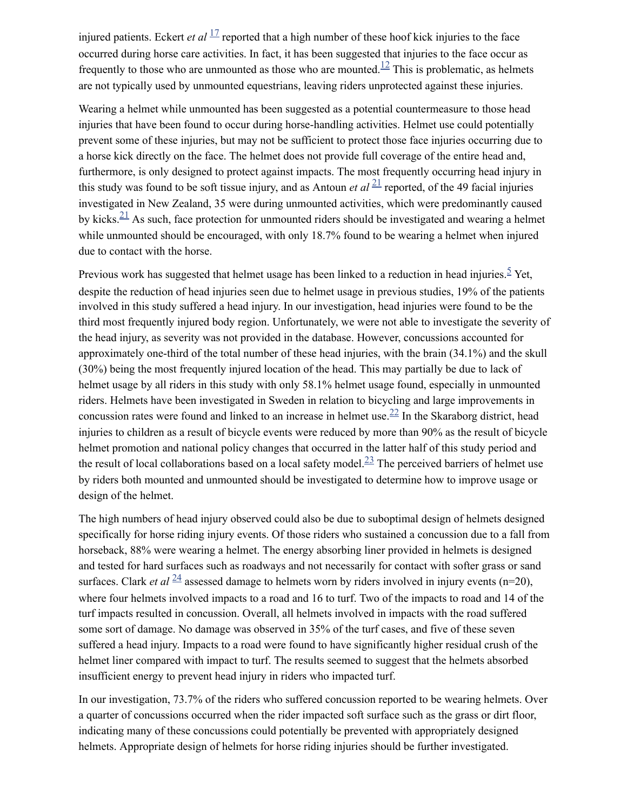injured patients. Eckert *et al*  $\frac{17}{1}$  $\frac{17}{1}$  $\frac{17}{1}$  reported that a high number of these hoof kick injuries to the face occurred during horse care activities. In fact, it has been suggested that injuries to the face occur as frequently to those who are unmounted as those who are mounted.<sup>[12](#page-11-5)</sup> This is problematic, as helmets are not typically used by unmounted equestrians, leaving riders unprotected against these injuries.

Wearing a helmet while unmounted has been suggested as a potential countermeasure to those head injuries that have been found to occur during horse-handling activities. Helmet use could potentially prevent some of these injuries, but may not be sufficient to protect those face injuries occurring due to a horse kick directly on the face. The helmet does not provide full coverage of the entire head and, furthermore, is only designed to protect against impacts. The most frequently occurring head injury in this study was found to be soft tissue injury, and as Antoun *et al*  $\frac{21}{2}$  $\frac{21}{2}$  $\frac{21}{2}$  reported, of the 49 facial injuries investigated in New Zealand, 35 were during unmounted activities, which were predominantly caused by kicks. $\frac{21}{1}$  $\frac{21}{1}$  $\frac{21}{1}$  As such, face protection for unmounted riders should be investigated and wearing a helmet while unmounted should be encouraged, with only 18.7% found to be wearing a helmet when injured due to contact with the horse.

Previous work has suggested that helmet usage has been linked to a reduction in head injuries.<sup>[5](#page-10-2)</sup> Yet, despite the reduction of head injuries seen due to helmet usage in previous studies, 19% of the patients involved in this study suffered a head injury. In our investigation, head injuries were found to be the third most frequently injured body region. Unfortunately, we were not able to investigate the severity of the head injury, as severity was not provided in the database. However, concussions accounted for approximately one-third of the total number of these head injuries, with the brain (34.1%) and the skull (30%) being the most frequently injured location of the head. This may partially be due to lack of helmet usage by all riders in this study with only 58.1% helmet usage found, especially in unmounted riders. Helmets have been investigated in Sweden in relation to bicycling and large improvements in concussion rates were found and linked to an increase in helmet use. $^{22}$  $^{22}$  $^{22}$  In the Skaraborg district, head injuries to children as a result of bicycle events were reduced by more than 90% as the result of bicycle helmet promotion and national policy changes that occurred in the latter half of this study period and the result of local collaborations based on a local safety model. $\frac{23}{12}$  $\frac{23}{12}$  $\frac{23}{12}$  The perceived barriers of helmet use by riders both mounted and unmounted should be investigated to determine how to improve usage or design of the helmet.

The high numbers of head injury observed could also be due to suboptimal design of helmets designed specifically for horse riding injury events. Of those riders who sustained a concussion due to a fall from horseback, 88% were wearing a helmet. The energy absorbing liner provided in helmets is designed and tested for hard surfaces such as roadways and not necessarily for contact with softer grass or sand surfaces. Clark *et al*  $\frac{24}{4}$  $\frac{24}{4}$  $\frac{24}{4}$  assessed damage to helmets worn by riders involved in injury events (n=20), where four helmets involved impacts to a road and 16 to turf. Two of the impacts to road and 14 of the turf impacts resulted in concussion. Overall, all helmets involved in impacts with the road suffered some sort of damage. No damage was observed in 35% of the turf cases, and five of these seven suffered a head injury. Impacts to a road were found to have significantly higher residual crush of the helmet liner compared with impact to turf. The results seemed to suggest that the helmets absorbed insufficient energy to prevent head injury in riders who impacted turf.

In our investigation, 73.7% of the riders who suffered concussion reported to be wearing helmets. Over a quarter of concussions occurred when the rider impacted soft surface such as the grass or dirt floor, indicating many of these concussions could potentially be prevented with appropriately designed helmets. Appropriate design of helmets for horse riding injuries should be further investigated.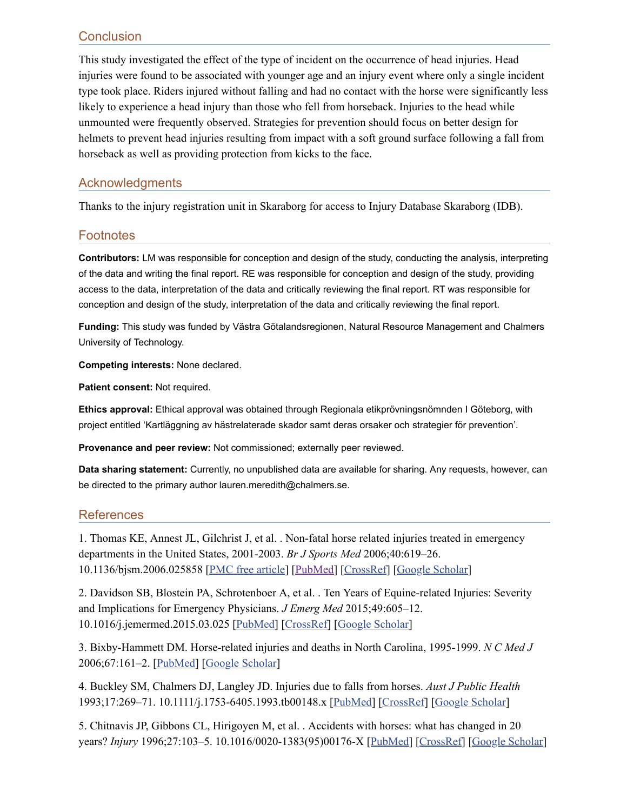# **Conclusion**

This study investigated the effect of the type of incident on the occurrence of head injuries. Head injuries were found to be associated with younger age and an injury event where only a single incident type took place. Riders injured without falling and had no contact with the horse were significantly less likely to experience a head injury than those who fell from horseback. Injuries to the head while unmounted were frequently observed. Strategies for prevention should focus on better design for helmets to prevent head injuries resulting from impact with a soft ground surface following a fall from horseback as well as providing protection from kicks to the face.

### Acknowledgments

Thanks to the injury registration unit in Skaraborg for access to Injury Database Skaraborg (IDB).

### **Footnotes**

**Contributors:** LM was responsible for conception and design of the study, conducting the analysis, interpreting of the data and writing the final report. RE was responsible for conception and design of the study, providing access to the data, interpretation of the data and critically reviewing the final report. RT was responsible for conception and design of the study, interpretation of the data and critically reviewing the final report.

**Funding:** This study was funded by Västra Götalandsregionen, Natural Resource Management and Chalmers University of Technology.

**Competing interests:** None declared.

**Patient consent:** Not required.

**Ethics approval:** Ethical approval was obtained through Regionala etikprövningsnömnden I Göteborg, with project entitled 'Kartläggning av hästrelaterade skador samt deras orsaker och strategier för prevention'.

**Provenance and peer review:** Not commissioned; externally peer reviewed.

**Data sharing statement:** Currently, no unpublished data are available for sharing. Any requests, however, can be directed to the primary author lauren.meredith@chalmers.se.

# **References**

<span id="page-10-0"></span>1. Thomas KE, Annest JL, Gilchrist J, et al. . Non-fatal horse related injuries treated in emergency departments in the United States, 2001-2003. *Br J Sports Med* 2006;40:619–26. 10.1136/bjsm.2006.025858 [PMC free [article](https://www.ncbi.nlm.nih.gov/pmc/articles/PMC2564310/)] [\[PubMed](https://www.ncbi.nlm.nih.gov/pubmed/16611723)] [\[CrossRef](https://dx.doi.org/10.1136%2Fbjsm.2006.025858)] [Google [Scholar](https://scholar.google.com/scholar_lookup?journal=Br+J+Sports+Med&title=Non-fatal+horse+related+injuries+treated+in+emergency+departments+in+the+United+States,+2001-2003&author=KE+Thomas&author=JL+Annest&author=J+Gilchrist&volume=40&publication_year=2006&pages=619-26&pmid=16611723&doi=10.1136/bjsm.2006.025858&)]

<span id="page-10-1"></span>2. Davidson SB, Blostein PA, Schrotenboer A, et al. . Ten Years of Equine-related Injuries: Severity and Implications for Emergency Physicians. *J Emerg Med* 2015;49:605–12. 10.1016/j.jemermed.2015.03.025 [[PubMed](https://www.ncbi.nlm.nih.gov/pubmed/26049279)] [[CrossRef\]](https://dx.doi.org/10.1016%2Fj.jemermed.2015.03.025) [Google [Scholar](https://scholar.google.com/scholar_lookup?journal=J+Emerg+Med&title=Ten+Years+of+Equine-related+Injuries:+Severity+and+Implications+for+Emergency+Physicians&author=SB+Davidson&author=PA+Blostein&author=A+Schrotenboer&volume=49&publication_year=2015&pages=605-12&pmid=26049279&doi=10.1016/j.jemermed.2015.03.025&)]

3. Bixby-Hammett DM. Horse-related injuries and deaths in North Carolina, 1995-1999. *N C Med J* 2006;67:161–2. [\[PubMed\]](https://www.ncbi.nlm.nih.gov/pubmed/16752724) [Google [Scholar](https://scholar.google.com/scholar_lookup?journal=N+C+Med+J&title=Horse-related+injuries+and+deaths+in+North+Carolina,+1995-1999&author=DM+Bixby-Hammett&volume=67&publication_year=2006&pages=161-2&pmid=16752724&)]

4. Buckley SM, Chalmers DJ, Langley JD. Injuries due to falls from horses. *Aust J Public Health* 1993;17:269–71. 10.1111/j.1753-6405.1993.tb00148.x [[PubMed](https://www.ncbi.nlm.nih.gov/pubmed/8286503)] [\[CrossRef\]](https://dx.doi.org/10.1111%2Fj.1753-6405.1993.tb00148.x) [Google [Scholar\]](https://scholar.google.com/scholar_lookup?journal=Aust+J+Public+Health&title=Injuries+due+to+falls+from+horses&author=SM+Buckley&author=DJ+Chalmers&author=JD+Langley&volume=17&publication_year=1993&pages=269-71&pmid=8286503&doi=10.1111/j.1753-6405.1993.tb00148.x&)

<span id="page-10-2"></span>5. Chitnavis JP, Gibbons CL, Hirigoyen M, et al. . Accidents with horses: what has changed in 20 years? *Injury* 1996;27:103–5. 10.1016/0020-1383(95)00176-X [[PubMed](https://www.ncbi.nlm.nih.gov/pubmed/8730383)] [[CrossRef\]](https://dx.doi.org/10.1016%2F0020-1383(95)00176-X) [Google [Scholar\]](https://scholar.google.com/scholar_lookup?journal=Injury&title=Accidents+with+horses:+what+has+changed+in+20+years?&author=JP+Chitnavis&author=CL+Gibbons&author=M+Hirigoyen&volume=27&publication_year=1996&pages=103-5&pmid=8730383&doi=10.1016/0020-1383(95)00176-X&)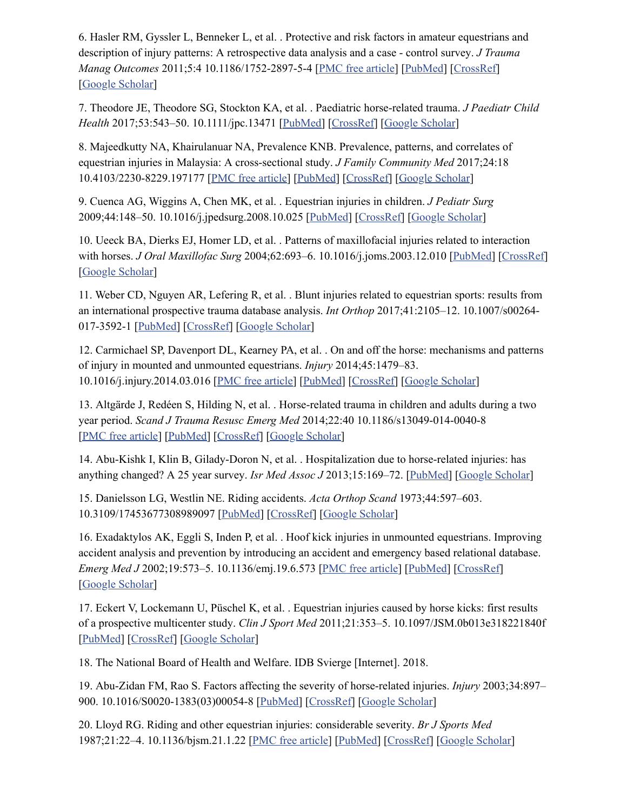6. Hasler RM, Gyssler L, Benneker L, et al. . Protective and risk factors in amateur equestrians and description of injury patterns: A retrospective data analysis and a case - control survey. *J Trauma Manag Outcomes* 2011;5:4 10.1186/1752-2897-5-4 [PMC free [article\]](https://www.ncbi.nlm.nih.gov/pmc/articles/PMC3042925/) [\[PubMed](https://www.ncbi.nlm.nih.gov/pubmed/21294862)] [\[CrossRef\]](https://dx.doi.org/10.1186%2F1752-2897-5-4) [Google [Scholar\]](https://scholar.google.com/scholar_lookup?journal=J+Trauma+Manag+Outcomes&title=Protective+and+risk+factors+in+amateur+equestrians+and+description+of+injury+patterns:+A+retrospective+data+analysis+and+a+case+-+control+survey&author=RM+Hasler&author=L+Gyssler&author=L+Benneker&volume=5&publication_year=2011&pages=4&pmid=21294862&doi=10.1186/1752-2897-5-4&)

<span id="page-11-0"></span>7. Theodore JE, Theodore SG, Stockton KA, et al. . Paediatric horse-related trauma. *J Paediatr Child Health* 2017;53:543–50. 10.1111/jpc.13471 [[PubMed\]](https://www.ncbi.nlm.nih.gov/pubmed/28268253) [\[CrossRef](https://dx.doi.org/10.1111%2Fjpc.13471)] [Google [Scholar\]](https://scholar.google.com/scholar_lookup?journal=J+Paediatr+Child+Health&title=Paediatric+horse-related+trauma&author=JE+Theodore&author=SG+Theodore&author=KA+Stockton&volume=53&publication_year=2017&pages=543-50&pmid=28268253&doi=10.1111/jpc.13471&)

<span id="page-11-1"></span>8. Majeedkutty NA, Khairulanuar NA, Prevalence KNB. Prevalence, patterns, and correlates of equestrian injuries in Malaysia: A cross-sectional study. *J Family Community Med* 2017;24:18 10.4103/2230-8229.197177 [PMC free [article](https://www.ncbi.nlm.nih.gov/pmc/articles/PMC5248429/)] [[PubMed](https://www.ncbi.nlm.nih.gov/pubmed/28163571)] [\[CrossRef](https://dx.doi.org/10.4103%2F2230-8229.197177)] [Google [Scholar\]](https://scholar.google.com/scholar_lookup?journal=J+Family+Community+Med&title=Prevalence,+patterns,+and+correlates+of+equestrian+injuries+in+Malaysia:+A+cross-sectional+study&author=NA+Majeedkutty&author=NA+Khairulanuar&author=KNB+Prevalence&volume=24&publication_year=2017&pages=18&pmid=28163571&doi=10.4103/2230-8229.197177&)

<span id="page-11-2"></span>9. Cuenca AG, Wiggins A, Chen MK, et al. . Equestrian injuries in children. *J Pediatr Surg* 2009;44:148–50. 10.1016/j.jpedsurg.2008.10.025 [\[PubMed](https://www.ncbi.nlm.nih.gov/pubmed/19159733)] [\[CrossRef\]](https://dx.doi.org/10.1016%2Fj.jpedsurg.2008.10.025) [Google [Scholar](https://scholar.google.com/scholar_lookup?journal=J+Pediatr+Surg&title=Equestrian+injuries+in+children&author=AG+Cuenca&author=A+Wiggins&author=MK+Chen&volume=44&publication_year=2009&pages=148-50&pmid=19159733&doi=10.1016/j.jpedsurg.2008.10.025&)]

<span id="page-11-3"></span>10. Ueeck BA, Dierks EJ, Homer LD, et al. . Patterns of maxillofacial injuries related to interaction with horses. *J Oral Maxillofac Surg* 2004;62:693–6. 10.1016/j.joms.2003.12.010 [\[PubMed](https://www.ncbi.nlm.nih.gov/pubmed/15170280)] [\[CrossRef\]](https://dx.doi.org/10.1016%2Fj.joms.2003.12.010) [Google [Scholar\]](https://scholar.google.com/scholar_lookup?journal=J+Oral+Maxillofac+Surg&title=Patterns+of+maxillofacial+injuries+related+to+interaction+with+horses&author=BA+Ueeck&author=EJ+Dierks&author=LD+Homer&volume=62&publication_year=2004&pages=693-6&pmid=15170280&doi=10.1016/j.joms.2003.12.010&)

<span id="page-11-4"></span>11. Weber CD, Nguyen AR, Lefering R, et al. . Blunt injuries related to equestrian sports: results from an international prospective trauma database analysis. *Int Orthop* 2017;41:2105–12. 10.1007/s00264- 017-3592-1 [[PubMed\]](https://www.ncbi.nlm.nih.gov/pubmed/28801837) [[CrossRef\]](https://dx.doi.org/10.1007%2Fs00264-017-3592-1) [Google [Scholar\]](https://scholar.google.com/scholar_lookup?journal=Int+Orthop&title=Blunt+injuries+related+to+equestrian+sports:+results+from+an+international+prospective+trauma+database+analysis&author=CD+Weber&author=AR+Nguyen&author=R+Lefering&volume=41&publication_year=2017&pages=2105-12&pmid=28801837&doi=10.1007/s00264-017-3592-1&)

<span id="page-11-5"></span>12. Carmichael SP, Davenport DL, Kearney PA, et al. . On and off the horse: mechanisms and patterns of injury in mounted and unmounted equestrians. *Injury* 2014;45:1479–83. 10.1016/j.injury.2014.03.016 [PMC free [article](https://www.ncbi.nlm.nih.gov/pmc/articles/PMC4125461/)] [\[PubMed\]](https://www.ncbi.nlm.nih.gov/pubmed/24767580) [[CrossRef\]](https://dx.doi.org/10.1016%2Fj.injury.2014.03.016) [Google [Scholar\]](https://scholar.google.com/scholar_lookup?journal=Injury&title=On+and+off+the+horse:+mechanisms+and+patterns+of+injury+in+mounted+and+unmounted+equestrians&author=SP+Carmichael&author=DL+Davenport&author=PA+Kearney&volume=45&publication_year=2014&pages=1479-83&pmid=24767580&doi=10.1016/j.injury.2014.03.016&)

13. Altgärde J, Redéen S, Hilding N, et al. . Horse-related trauma in children and adults during a two year period. *Scand J Trauma Resusc Emerg Med* 2014;22:40 10.1186/s13049-014-0040-8 [PMC free [article\]](https://www.ncbi.nlm.nih.gov/pmc/articles/PMC4347583/) [\[PubMed](https://www.ncbi.nlm.nih.gov/pubmed/25030979)] [\[CrossRef\]](https://dx.doi.org/10.1186%2Fs13049-014-0040-8) [Google [Scholar\]](https://scholar.google.com/scholar_lookup?journal=Scand+J+Trauma+Resusc+Emerg+Med&title=Horse-related+trauma+in+children+and+adults+during+a+two+year+period&author=J+Altg%C3%A4rde&author=S+Red%C3%A9en&author=N+Hilding&volume=22&publication_year=2014&pages=40&pmid=25030979&doi=10.1186/s13049-014-0040-8&)

14. Abu-Kishk I, Klin B, Gilady-Doron N, et al. . Hospitalization due to horse-related injuries: has anything changed? A 25 year survey. *Isr Med Assoc J* 2013;15:169–72. [\[PubMed](https://www.ncbi.nlm.nih.gov/pubmed/23781751)] [Google [Scholar](https://scholar.google.com/scholar_lookup?journal=Isr+Med+Assoc+J&title=Hospitalization+due+to+horse-related+injuries:+has+anything+changed?+A+25+year+survey&author=I+Abu-Kishk&author=B+Klin&author=N+Gilady-Doron&volume=15&publication_year=2013&pages=169-72&pmid=23781751&)]

15. Danielsson LG, Westlin NE. Riding accidents. *Acta Orthop Scand* 1973;44:597–603. 10.3109/17453677308989097 [\[PubMed](https://www.ncbi.nlm.nih.gov/pubmed/4770128)] [\[CrossRef\]](https://dx.doi.org/10.3109%2F17453677308989097) [Google [Scholar](https://scholar.google.com/scholar_lookup?journal=Acta+Orthop+Scand&title=Riding+accidents&author=LG+Danielsson&author=NE+Westlin&volume=44&publication_year=1973&pages=597-603&pmid=4770128&doi=10.3109/17453677308989097&)]

16. Exadaktylos AK, Eggli S, Inden P, et al. . Hoof kick injuries in unmounted equestrians. Improving accident analysis and prevention by introducing an accident and emergency based relational database. *Emerg Med J* 2002;19:573–5. 10.1136/emj.19.6.573 [PMC free [article\]](https://www.ncbi.nlm.nih.gov/pmc/articles/PMC1756322/) [\[PubMed\]](https://www.ncbi.nlm.nih.gov/pubmed/12421795) [[CrossRef](https://dx.doi.org/10.1136%2Femj.19.6.573)] [Google [Scholar\]](https://scholar.google.com/scholar_lookup?journal=Emerg+Med+J&title=Hoof+kick+injuries+in+unmounted+equestrians.+Improving+accident+analysis+and+prevention+by+introducing+an+accident+and+emergency+based+relational+database&author=AK+Exadaktylos&author=S+Eggli&author=P+Inden&volume=19&publication_year=2002&pages=573-5&pmid=12421795&doi=10.1136/emj.19.6.573&)

<span id="page-11-6"></span>17. Eckert V, Lockemann U, Püschel K, et al. . Equestrian injuries caused by horse kicks: first results of a prospective multicenter study. *Clin J Sport Med* 2011;21:353–5. 10.1097/JSM.0b013e318221840f [\[PubMed\]](https://www.ncbi.nlm.nih.gov/pubmed/21694587) [\[CrossRef](https://dx.doi.org/10.1097%2FJSM.0b013e318221840f)] [Google [Scholar\]](https://scholar.google.com/scholar_lookup?journal=Clin+J+Sport+Med&title=Equestrian+injuries+caused+by+horse+kicks:+first+results+of+a+prospective+multicenter+study&author=V+Eckert&author=U+Lockemann&author=K+P%C3%BCschel&volume=21&publication_year=2011&pages=353-5&pmid=21694587&doi=10.1097/JSM.0b013e318221840f&)

<span id="page-11-7"></span>18. The National Board of Health and Welfare. IDB Svierge [Internet]. 2018.

<span id="page-11-8"></span>19. Abu-Zidan FM, Rao S. Factors affecting the severity of horse-related injuries. *Injury* 2003;34:897– 900. 10.1016/S0020-1383(03)00054-8 [\[PubMed\]](https://www.ncbi.nlm.nih.gov/pubmed/14636730) [[CrossRef](https://dx.doi.org/10.1016%2FS0020-1383(03)00054-8)] [Google [Scholar](https://scholar.google.com/scholar_lookup?journal=Injury&title=Factors+affecting+the+severity+of+horse-related+injuries&author=FM+Abu-Zidan&author=S+Rao&volume=34&publication_year=2003&pages=897-900&pmid=14636730&doi=10.1016/S0020-1383(03)00054-8&)]

<span id="page-11-9"></span>20. Lloyd RG. Riding and other equestrian injuries: considerable severity. *Br J Sports Med* 1987;21:22–4. 10.1136/bjsm.21.1.22 [PMC free [article](https://www.ncbi.nlm.nih.gov/pmc/articles/PMC1478604/)] [[PubMed](https://www.ncbi.nlm.nih.gov/pubmed/3580722)] [[CrossRef\]](https://dx.doi.org/10.1136%2Fbjsm.21.1.22) [Google [Scholar](https://scholar.google.com/scholar_lookup?journal=Br+J+Sports+Med&title=Riding+and+other+equestrian+injuries:+considerable+severity&author=RG+Lloyd&volume=21&publication_year=1987&pages=22-4&pmid=3580722&doi=10.1136/bjsm.21.1.22&)]